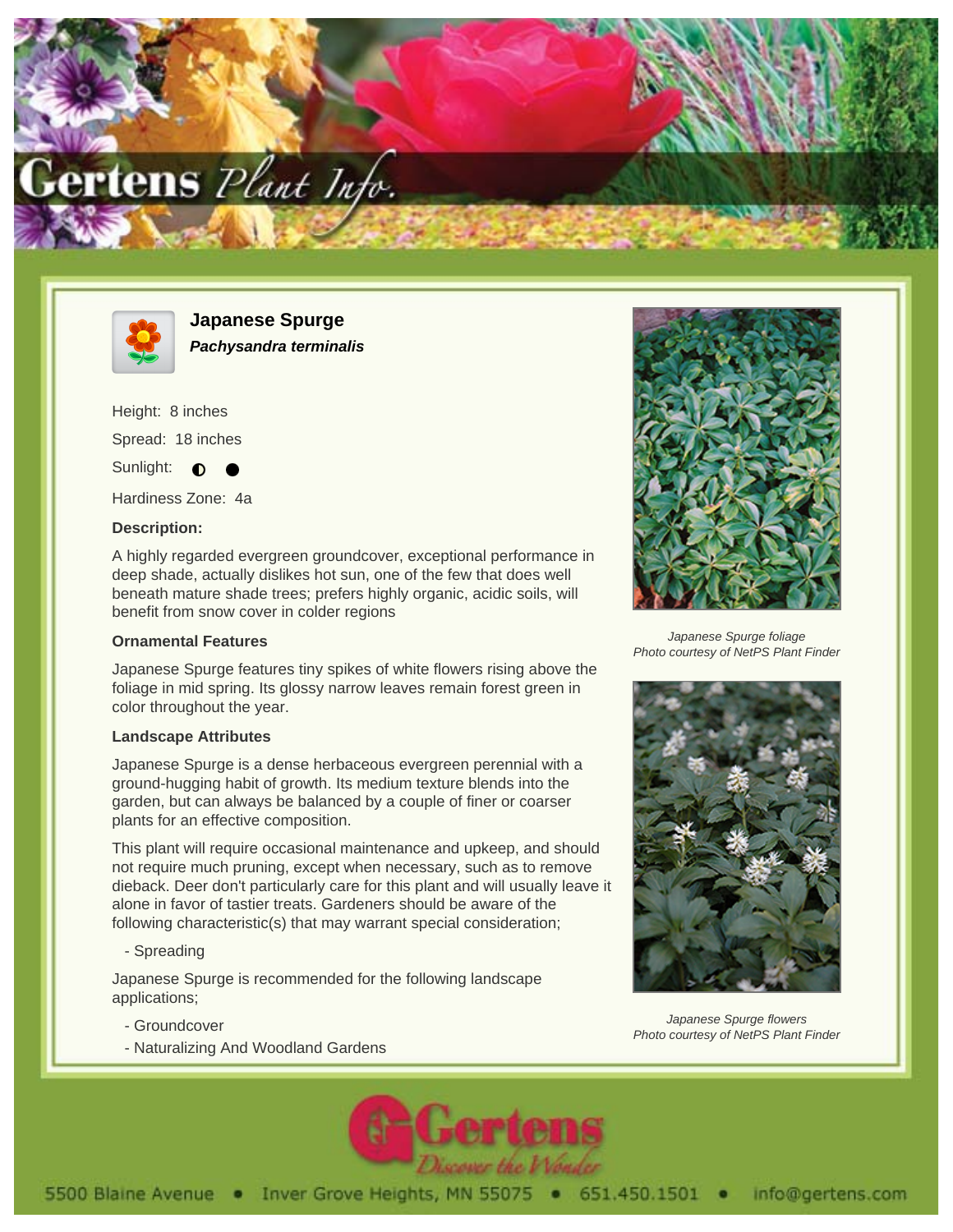



**Japanese Spurge Pachysandra terminalis**

Height: 8 inches Spread: 18 inches

Sunlight:  $\bullet$ 

Hardiness Zone: 4a

## **Description:**

A highly regarded evergreen groundcover, exceptional performance in deep shade, actually dislikes hot sun, one of the few that does well beneath mature shade trees; prefers highly organic, acidic soils, will benefit from snow cover in colder regions

## **Ornamental Features**

Japanese Spurge features tiny spikes of white flowers rising above the foliage in mid spring. Its glossy narrow leaves remain forest green in color throughout the year.

## **Landscape Attributes**

Japanese Spurge is a dense herbaceous evergreen perennial with a ground-hugging habit of growth. Its medium texture blends into the garden, but can always be balanced by a couple of finer or coarser plants for an effective composition.

This plant will require occasional maintenance and upkeep, and should not require much pruning, except when necessary, such as to remove dieback. Deer don't particularly care for this plant and will usually leave it alone in favor of tastier treats. Gardeners should be aware of the following characteristic(s) that may warrant special consideration;

- Spreading

Japanese Spurge is recommended for the following landscape applications;

- Groundcover
- Naturalizing And Woodland Gardens



Japanese Spurge foliage Photo courtesy of NetPS Plant Finder



Japanese Spurge flowers Photo courtesy of NetPS Plant Finder